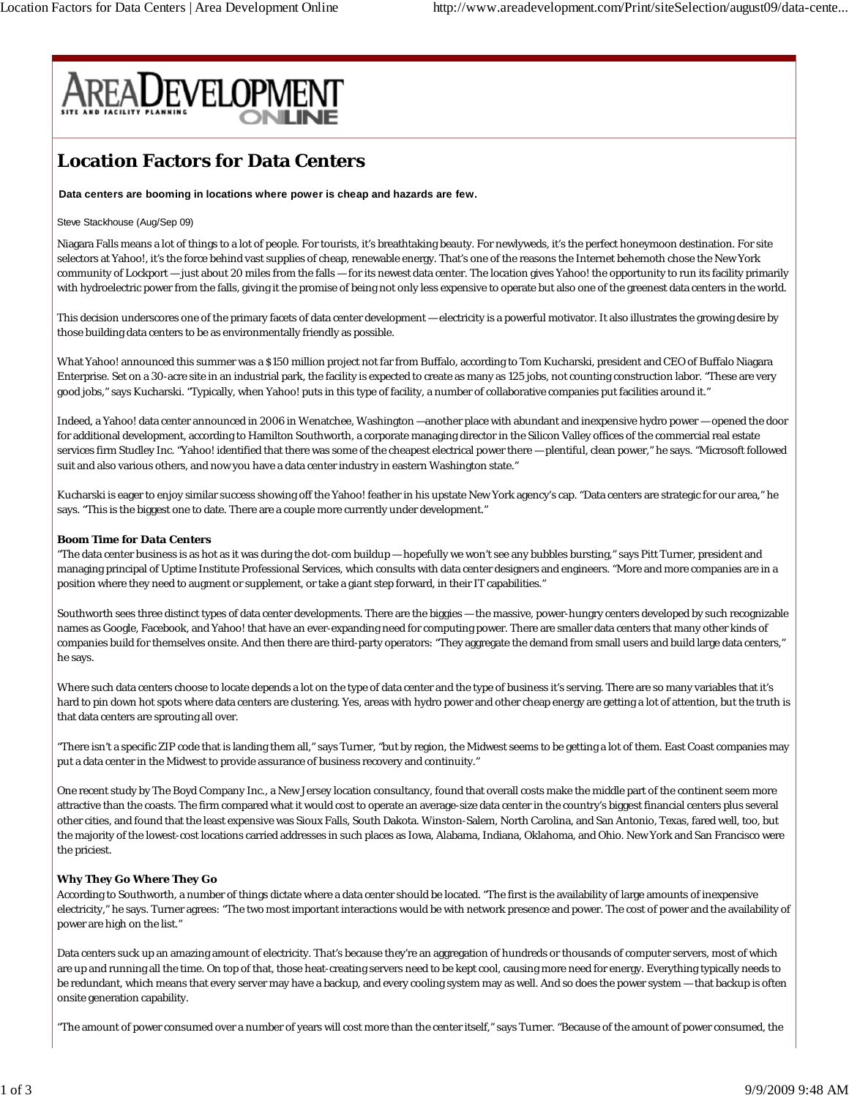

# **Location Factors for Data Centers**

**Data centers are booming in locations where power is cheap and hazards are few.**

## Steve Stackhouse (Aug/Sep 09)

Niagara Falls means a lot of things to a lot of people. For tourists, it's breathtaking beauty. For newlyweds, it's the perfect honeymoon destination. For site selectors at Yahoo!, it's the force behind vast supplies of cheap, renewable energy. That's one of the reasons the Internet behemoth chose the New York community of Lockport — just about 20 miles from the falls — for its newest data center. The location gives Yahoo! the opportunity to run its facility primarily with hydroelectric power from the falls, giving it the promise of being not only less expensive to operate but also one of the greenest data centers in the world.

This decision underscores one of the primary facets of data center development — electricity is a powerful motivator. It also illustrates the growing desire by those building data centers to be as environmentally friendly as possible.

What Yahoo! announced this summer was a \$150 million project not far from Buffalo, according to Tom Kucharski, president and CEO of Buffalo Niagara Enterprise. Set on a 30-acre site in an industrial park, the facility is expected to create as many as 125 jobs, not counting construction labor. "These are very good jobs," says Kucharski. "Typically, when Yahoo! puts in this type of facility, a number of collaborative companies put facilities around it."

Indeed, a Yahoo! data center announced in 2006 in Wenatchee, Washington —another place with abundant and inexpensive hydro power — opened the door for additional development, according to Hamilton Southworth, a corporate managing director in the Silicon Valley offices of the commercial real estate services firm Studley Inc. "Yahoo! identified that there was some of the cheapest electrical power there — plentiful, clean power," he says. "Microsoft followed suit and also various others, and now you have a data center industry in eastern Washington state."

Kucharski is eager to enjoy similar success showing off the Yahoo! feather in his upstate New York agency's cap. "Data centers are strategic for our area," he says. "This is the biggest one to date. There are a couple more currently under development."

## **Boom Time for Data Centers**

"The data center business is as hot as it was during the dot-com buildup — hopefully we won't see any bubbles bursting," says Pitt Turner, president and managing principal of Uptime Institute Professional Services, which consults with data center designers and engineers. "More and more companies are in a position where they need to augment or supplement, or take a giant step forward, in their IT capabilities."

Southworth sees three distinct types of data center developments. There are the biggies — the massive, power-hungry centers developed by such recognizable names as Google, Facebook, and Yahoo! that have an ever-expanding need for computing power. There are smaller data centers that many other kinds of companies build for themselves onsite. And then there are third-party operators: "They aggregate the demand from small users and build large data centers," he says.

Where such data centers choose to locate depends a lot on the type of data center and the type of business it's serving. There are so many variables that it's hard to pin down hot spots where data centers are clustering. Yes, areas with hydro power and other cheap energy are getting a lot of attention, but the truth is that data centers are sprouting all over.

"There isn't a specific ZIP code that is landing them all," says Turner, "but by region, the Midwest seems to be getting a lot of them. East Coast companies may put a data center in the Midwest to provide assurance of business recovery and continuity."

One recent study by The Boyd Company Inc., a New Jersey location consultancy, found that overall costs make the middle part of the continent seem more attractive than the coasts. The firm compared what it would cost to operate an average-size data center in the country's biggest financial centers plus several other cities, and found that the least expensive was Sioux Falls, South Dakota. Winston-Salem, North Carolina, and San Antonio, Texas, fared well, too, but the majority of the lowest-cost locations carried addresses in such places as Iowa, Alabama, Indiana, Oklahoma, and Ohio. New York and San Francisco were the priciest.

## **Why They Go Where They Go**

According to Southworth, a number of things dictate where a data center should be located. "The first is the availability of large amounts of inexpensive electricity," he says. Turner agrees: "The two most important interactions would be with network presence and power. The cost of power and the availability of power are high on the list."

Data centers suck up an amazing amount of electricity. That's because they're an aggregation of hundreds or thousands of computer servers, most of which are up and running all the time. On top of that, those heat-creating servers need to be kept cool, causing more need for energy. Everything typically needs to be redundant, which means that every server may have a backup, and every cooling system may as well. And so does the power system — that backup is often onsite generation capability.

"The amount of power consumed over a number of years will cost more than the center itself," says Turner. "Because of the amount of power consumed, the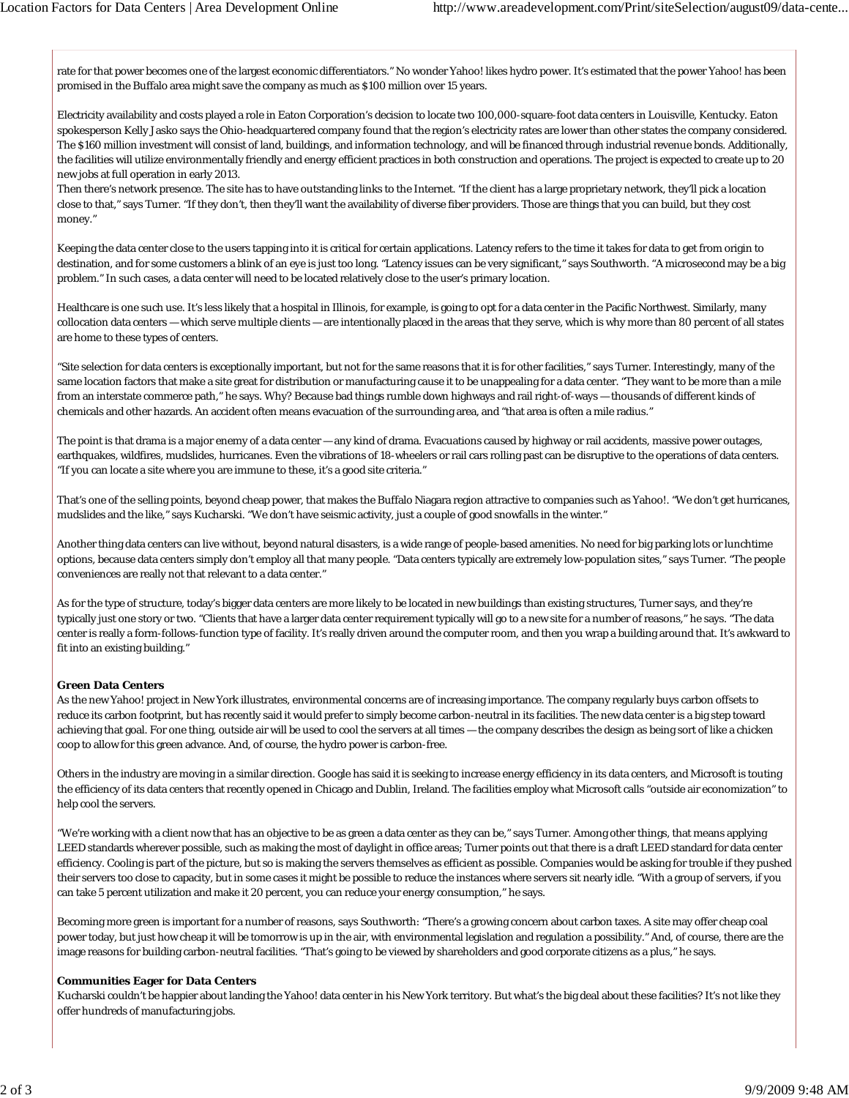rate for that power becomes one of the largest economic differentiators." No wonder Yahoo! likes hydro power. It's estimated that the power Yahoo! has been promised in the Buffalo area might save the company as much as \$100 million over 15 years.

Electricity availability and costs played a role in Eaton Corporation's decision to locate two 100,000-square-foot data centers in Louisville, Kentucky. Eaton spokesperson Kelly Jasko says the Ohio-headquartered company found that the region's electricity rates are lower than other states the company considered. The \$160 million investment will consist of land, buildings, and information technology, and will be financed through industrial revenue bonds. Additionally, the facilities will utilize environmentally friendly and energy efficient practices in both construction and operations. The project is expected to create up to 20 new jobs at full operation in early 2013.

Then there's network presence. The site has to have outstanding links to the Internet. "If the client has a large proprietary network, they'll pick a location close to that," says Turner. "If they don't, then they'll want the availability of diverse fiber providers. Those are things that you can build, but they cost money."

Keeping the data center close to the users tapping into it is critical for certain applications. Latency refers to the time it takes for data to get from origin to destination, and for some customers a blink of an eye is just too long. "Latency issues can be very significant," says Southworth. "A microsecond may be a big problem." In such cases, a data center will need to be located relatively close to the user's primary location.

Healthcare is one such use. It's less likely that a hospital in Illinois, for example, is going to opt for a data center in the Pacific Northwest. Similarly, many collocation data centers — which serve multiple clients — are intentionally placed in the areas that they serve, which is why more than 80 percent of all states are home to these types of centers.

"Site selection for data centers is exceptionally important, but not for the same reasons that it is for other facilities," says Turner. Interestingly, many of the same location factors that make a site great for distribution or manufacturing cause it to be unappealing for a data center. "They want to be more than a mile from an interstate commerce path," he says. Why? Because bad things rumble down highways and rail right-of-ways — thousands of different kinds of chemicals and other hazards. An accident often means evacuation of the surrounding area, and "that area is often a mile radius."

The point is that drama is a major enemy of a data center — any kind of drama. Evacuations caused by highway or rail accidents, massive power outages, earthquakes, wildfires, mudslides, hurricanes. Even the vibrations of 18-wheelers or rail cars rolling past can be disruptive to the operations of data centers. "If you can locate a site where you are immune to these, it's a good site criteria."

That's one of the selling points, beyond cheap power, that makes the Buffalo Niagara region attractive to companies such as Yahoo!. "We don't get hurricanes, mudslides and the like," says Kucharski. "We don't have seismic activity, just a couple of good snowfalls in the winter."

Another thing data centers can live without, beyond natural disasters, is a wide range of people-based amenities. No need for big parking lots or lunchtime options, because data centers simply don't employ all that many people. "Data centers typically are extremely low-population sites," says Turner. "The people conveniences are really not that relevant to a data center."

As for the type of structure, today's bigger data centers are more likely to be located in new buildings than existing structures, Turner says, and they're typically just one story or two. "Clients that have a larger data center requirement typically will go to a new site for a number of reasons," he says. "The data center is really a form-follows-function type of facility. It's really driven around the computer room, and then you wrap a building around that. It's awkward to fit into an existing building."

## **Green Data Centers**

As the new Yahoo! project in New York illustrates, environmental concerns are of increasing importance. The company regularly buys carbon offsets to reduce its carbon footprint, but has recently said it would prefer to simply become carbon-neutral in its facilities. The new data center is a big step toward achieving that goal. For one thing, outside air will be used to cool the servers at all times — the company describes the design as being sort of like a chicken coop to allow for this green advance. And, of course, the hydro power is carbon-free.

Others in the industry are moving in a similar direction. Google has said it is seeking to increase energy efficiency in its data centers, and Microsoft is touting the efficiency of its data centers that recently opened in Chicago and Dublin, Ireland. The facilities employ what Microsoft calls "outside air economization" to help cool the servers.

"We're working with a client now that has an objective to be as green a data center as they can be," says Turner. Among other things, that means applying LEED standards wherever possible, such as making the most of daylight in office areas; Turner points out that there is a draft LEED standard for data center efficiency. Cooling is part of the picture, but so is making the servers themselves as efficient as possible. Companies would be asking for trouble if they pushed their servers too close to capacity, but in some cases it might be possible to reduce the instances where servers sit nearly idle. "With a group of servers, if you can take 5 percent utilization and make it 20 percent, you can reduce your energy consumption," he says.

Becoming more green is important for a number of reasons, says Southworth: "There's a growing concern about carbon taxes. A site may offer cheap coal power today, but just how cheap it will be tomorrow is up in the air, with environmental legislation and regulation a possibility." And, of course, there are the image reasons for building carbon-neutral facilities. "That's going to be viewed by shareholders and good corporate citizens as a plus," he says.

## **Communities Eager for Data Centers**

Kucharski couldn't be happier about landing the Yahoo! data center in his New York territory. But what's the big deal about these facilities? It's not like they offer hundreds of manufacturing jobs.